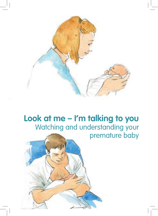

# **Look at me – I'm talking to you**  Watching and understanding your premature baby

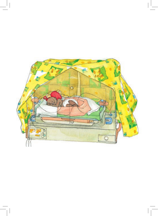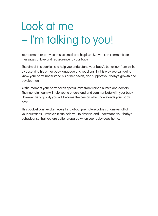# Look at me – I'm talking to you!

Your premature baby seems so small and helpless. But you can communicate messages of love and reassurance to your baby.

The aim of this booklet is to help you understand your baby's behaviour from birth, by observing his or her body language and reactions. In this way you can get to know your baby, understand his or her needs, and support your baby's growth and development.

At the moment your baby needs special care from trained nurses and doctors. The neonatal team will help you to understand and communicate with your baby. However, very quickly you will become the person who understands your baby best.

This booklet can't explain everything about premature babies or answer all of your questions. However, it can help you to observe and understand your baby's behaviour so that you are better prepared when your baby goes home.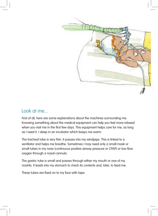

## Look at me...

First of all, here are some explanations about the machines surrounding me. Knowing something about the medical equipment can help you feel more relaxed when you visit me in the first few days. This equipment helps care for me, as long as I need it. I sleep in an incubator which keeps me warm.

The tracheal tube is very thin. It passes into my windpipe. This is linked to a ventilator and helps me breathe. Sometimes I may need only a small mask or small tubes in my nose (continuous positive airway pressure or CPAP) or low flow oxygen through a nasal cannula.

The gastric tube is small and passes through either my mouth or one of my nostrils. It leads into my stomach to check its contents and, later, to feed me.

These tubes are fixed on to my face with tape.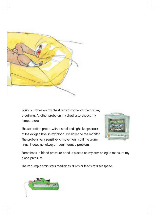

Various probes on my chest record my heart rate and my breathing. Another probe on my chest also checks my temperature.

The saturation probe, with a small red light, keeps track of the oxygen level in my blood. It is linked to the monitor. The probe is very sensitive to movement, so if the alarm rings, it does not always mean there's a problem.



Sometimes, a blood pressure band is placed on my arm or leg to measure my blood pressure.

The IV pump administers medicines, fluids or feeds at a set speed.

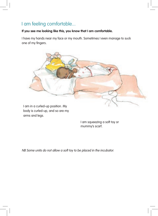## I am feeling comfortable...

#### **If you see me looking like this, you know that I am comfortable.**

I have my hands near my face or my mouth. Sometimes I even manage to suck one of my fingers.



body is curled-up, and so are my arms and legs.

> I am squeezing a soft toy or mummy's scarf.

NB Some units do not allow a soft toy to be placed in the incubator.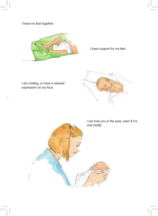I have my feet together.



I have support for my feet.

I am smiling, or have a relaxed expression on my face.





I can look you in the eyes, even if it is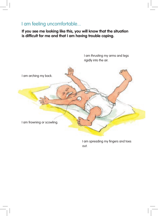## I am feeling uncomfortable...

**If you see me looking like this, you will know that the situation is difficult for me and that I am having trouble coping.** 



I am spreading my fingers and toes out.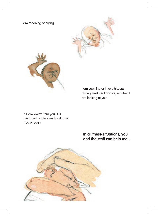I am moaning or crying.





I am yawning or I have hiccups during treatment or care, or when I am looking at you.

If I look away from you, it is because I am too tired and have had enough.

> **In all these situations, you and the staff can help me...**

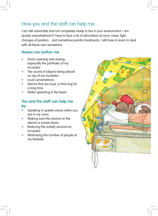## How you and the staff can help me...

I am still vulnerable and not completely ready to live in your environment. I am quickly overwhelmed if I have to face a lot of stimulation at once: noise, light, changes of position... and sometimes painful treatments. I still have to learn to deal with all these new sensations.

## **Noises can bother me**

- Doors opening and closing, especially the portholes of my incubator
- The sound of objects being placed on top of my incubator
- Loud conversations
- Alarms that are loud, or that ring for a long time
- Water splashing in the basin

#### **You and the staff can help me by:**

- Speaking in quieter voices when you are in my room
- Making sure the volume on the alarms is turned down
- Reducing the activity around my incubator
- Minimising the number of people at my bedside

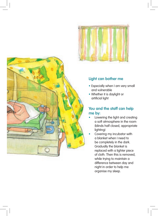



- Especially when I am very small and vulnerable
- Whether it is daylight or artificial light

#### **You and the staff can help me by:**

- Lowering the light and creating a soft atmosphere in the room (blinds half closed, appropriate lighting)
- Covering my incubator with a blanket when I need to be completely in the dark. Gradually the blanket is replaced with a lighter piece of cloth. Then this is removed, while trying to maintain a difference between day and night in order to help me organise my sleep.

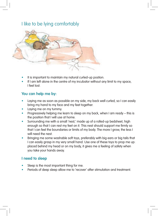# I like to be lying comfortably



- It is important to maintain my natural curled-up postion.
- If I am left alone in the centre of my incubator without any limit to my space. I feel lost.

#### **You can help me by:**

- Laying me as soon as possible on my side, my back well curled, so I can easily bring my hand to my face and my feet together.
- Laving me on my tummy.
- Progressively helping me learn to sleep on my back, when I am ready this is the position that I will use at home.
- Surrounding me with a small 'nest,' made up of a rolled-up bedsheet, high enough so that I can rest my feet on it. This nest should support me firmly so that I can feel the boundaries or limits of my body. The more I grow, the less I will need the nest.
- Bringing me some washable soft toys, preferably with big ears or big tails that I can easily grasp in my very small hand. Use one of these toys to prop me up: placed behind my head or on my body, it gives me a feeling of safety when you take your hands away.

#### **I need to sleep**

- Sleep is the most important thing for me.
- Periods of deep sleep allow me to 'recover' after stimulation and treatment.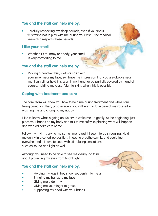## **You and the staff can help me by:**

• Carefully respecting my sleep periods, even if you find it frustrating not to play with me during your visit – the medical team also respects these periods.

#### **I like your smell**

• Whether it's mummy or daddy, your smell is very comforting to me.

#### **You and the staff can help me by:**

• Placing a handkerchief, cloth or scarf with your smell near my face, so I have the impression that you are always near me. I can either hold this scarf in my hand, or be partially covered by it and of course, holding me close, 'skin-to-skin', when this is possible.

#### **Coping with treatment and care**

The care team will show you how to hold me during treatment and while I am being cared for. Then, progressively, you will learn to take care of me yourself – washing me and changing my nappy.

I like to know what is going on. So, try to wake me up gently. At the beginning, just place your hands on my body and talk to me softly, explaining what will happen and who will take care of me.

Follow my rhythm, giving me some time to rest if I seem to be struggling. Hold me gently in a curled-up position. I need to breathe calmly, and could feel overwhelmed if I have to cope with stimulating sensations such as sound and light as well.

Although you need to be able to see me clearly, do think about protecting my eyes from bright light.

#### **You and the staff can help me by:**

- Holding my legs if they shoot suddenly into the air
- Bringing my hands to my face
- Giving me a dummy
- Giving me your finger to grasp
- Supporting my head with your hands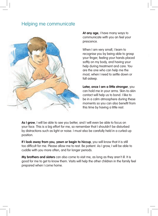## Helping me communicate



**At any age**, I have many ways to communicate with you an feel your prescence.

When I am very small, I learn to recognise you by being able to grasp your finger, feeling your hands placed softly on my body, and having your help during treatment and care. You are the one who can help me the most, when I need to settle down or fall asleep.

**Later, once I am a little stronger**, you can hold me in your arms. Skin-to-skin contact will help us to bond. I like to be in a calm atmosphere during these moments so you can also benefit from this time by having a little rest.

**As I grow**, I will be able to see you better, and I will even be able to focus on your face. This is a big effort for me, so remember that I shouldn't be disturbed by distractions such as light or noise. I must also be carefully held in a curled-up position.

**If I look away from you, yawn or begin to hiccup**, you will know that it is still too difficult for me. Please allow me to rest. Be patient. As I grow, I will be able to cuddle with you more often, and for longer periods.

**My brothers and sisters** can also come to visit me, as long as they aren't ill. It is good for me to get to know them. Visits will help the other children in the family feel prepared when I come home.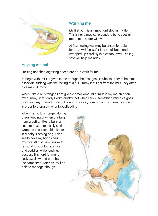

#### **Washing me**

My first bath is an important step in my life. This is not a medical procedure but a special moment to share with you.

At first, feeling wet may be uncomfortable for me. I will feel safer in a small bath, and wrapped up carefully in a cotton towel. Feeling safe will help me relax.

### **Helping me eat**

Sucking and then digesting a feed are hard work for me.

To begin with, milk is given to me through the nasogastric tube. In order to help me associate sucking with the feeling of a full tummy that I get from the milk, they often give me a dummy.

When I am a bit stronger, I am given a small amount of milk in my mouth or on my dummy. In this way I learn quickly that when I suck, something very nice goes down into my stomach. Even if I cannot suck yet, I am put on my mummy's breast in order to prepare me for breastfeeding.

When I am a lot stronger, during breastfeeding or when drinking from a bottle, I like to be in a calm atmosphere, nicely settled, wrapped in a cotton blanket or in a baby sleeping bag. I also like to have my hands near my face. At first I am unable to respond to your looks, smiles and cuddles while feeding, because it is hard for me to suck, swallow and breathe at the same time. Later on I will be able to manage, though.